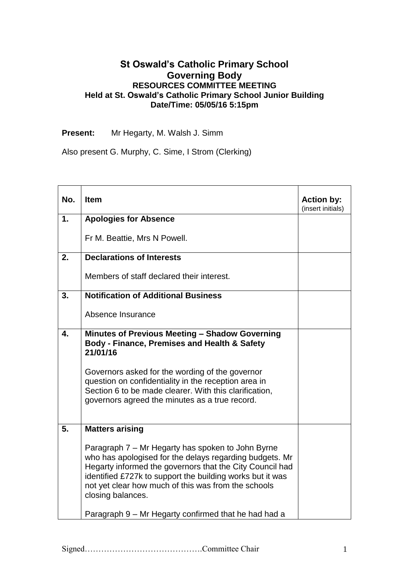## **St Oswald's Catholic Primary School Governing Body RESOURCES COMMITTEE MEETING Held at St. Oswald's Catholic Primary School Junior Building Date/Time: 05/05/16 5:15pm**

**Present:** Mr Hegarty, M. Walsh J. Simm

Also present G. Murphy, C. Sime, I Strom (Clerking)

| No. | <b>Item</b>                                                                                                                                                                                                                                                                                                       | <b>Action by:</b><br>(insert initials) |
|-----|-------------------------------------------------------------------------------------------------------------------------------------------------------------------------------------------------------------------------------------------------------------------------------------------------------------------|----------------------------------------|
| 1.  | <b>Apologies for Absence</b>                                                                                                                                                                                                                                                                                      |                                        |
|     | Fr M. Beattie, Mrs N Powell.                                                                                                                                                                                                                                                                                      |                                        |
| 2.  | <b>Declarations of Interests</b>                                                                                                                                                                                                                                                                                  |                                        |
|     | Members of staff declared their interest.                                                                                                                                                                                                                                                                         |                                        |
| 3.  | <b>Notification of Additional Business</b>                                                                                                                                                                                                                                                                        |                                        |
|     | Absence Insurance                                                                                                                                                                                                                                                                                                 |                                        |
| 4.  | Minutes of Previous Meeting - Shadow Governing<br>Body - Finance, Premises and Health & Safety<br>21/01/16                                                                                                                                                                                                        |                                        |
|     | Governors asked for the wording of the governor<br>question on confidentiality in the reception area in<br>Section 6 to be made clearer. With this clarification,<br>governors agreed the minutes as a true record.                                                                                               |                                        |
| 5.  | <b>Matters arising</b>                                                                                                                                                                                                                                                                                            |                                        |
|     | Paragraph 7 – Mr Hegarty has spoken to John Byrne<br>who has apologised for the delays regarding budgets. Mr<br>Hegarty informed the governors that the City Council had<br>identified £727k to support the building works but it was<br>not yet clear how much of this was from the schools<br>closing balances. |                                        |
|     | Paragraph 9 - Mr Hegarty confirmed that he had had a                                                                                                                                                                                                                                                              |                                        |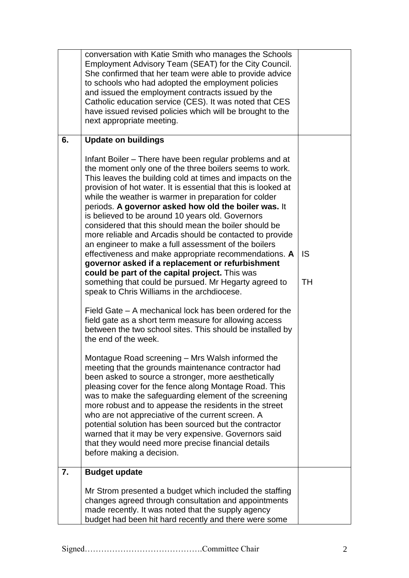|    | conversation with Katie Smith who manages the Schools<br>Employment Advisory Team (SEAT) for the City Council.<br>She confirmed that her team were able to provide advice<br>to schools who had adopted the employment policies<br>and issued the employment contracts issued by the<br>Catholic education service (CES). It was noted that CES<br>have issued revised policies which will be brought to the<br>next appropriate meeting.                                                                                                                                                                                                                                                                                                                                                                                                                                                                                                                                                                                                                                            |                 |
|----|--------------------------------------------------------------------------------------------------------------------------------------------------------------------------------------------------------------------------------------------------------------------------------------------------------------------------------------------------------------------------------------------------------------------------------------------------------------------------------------------------------------------------------------------------------------------------------------------------------------------------------------------------------------------------------------------------------------------------------------------------------------------------------------------------------------------------------------------------------------------------------------------------------------------------------------------------------------------------------------------------------------------------------------------------------------------------------------|-----------------|
| 6. | <b>Update on buildings</b>                                                                                                                                                                                                                                                                                                                                                                                                                                                                                                                                                                                                                                                                                                                                                                                                                                                                                                                                                                                                                                                           |                 |
|    | Infant Boiler – There have been regular problems and at<br>the moment only one of the three boilers seems to work.<br>This leaves the building cold at times and impacts on the<br>provision of hot water. It is essential that this is looked at<br>while the weather is warmer in preparation for colder<br>periods. A governor asked how old the boiler was. It<br>is believed to be around 10 years old. Governors<br>considered that this should mean the boiler should be<br>more reliable and Arcadis should be contacted to provide<br>an engineer to make a full assessment of the boilers<br>effectiveness and make appropriate recommendations. A<br>governor asked if a replacement or refurbishment<br>could be part of the capital project. This was<br>something that could be pursued. Mr Hegarty agreed to<br>speak to Chris Williams in the archdiocese.<br>Field Gate – A mechanical lock has been ordered for the<br>field gate as a short term measure for allowing access<br>between the two school sites. This should be installed by<br>the end of the week. | <b>IS</b><br>TH |
|    | Montague Road screening - Mrs Walsh informed the<br>meeting that the grounds maintenance contractor had<br>been asked to source a stronger, more aesthetically<br>pleasing cover for the fence along Montage Road. This<br>was to make the safeguarding element of the screening<br>more robust and to appease the residents in the street<br>who are not appreciative of the current screen. A<br>potential solution has been sourced but the contractor<br>warned that it may be very expensive. Governors said<br>that they would need more precise financial details<br>before making a decision.                                                                                                                                                                                                                                                                                                                                                                                                                                                                                |                 |
| 7. | <b>Budget update</b>                                                                                                                                                                                                                                                                                                                                                                                                                                                                                                                                                                                                                                                                                                                                                                                                                                                                                                                                                                                                                                                                 |                 |
|    | Mr Strom presented a budget which included the staffing<br>changes agreed through consultation and appointments<br>made recently. It was noted that the supply agency<br>budget had been hit hard recently and there were some                                                                                                                                                                                                                                                                                                                                                                                                                                                                                                                                                                                                                                                                                                                                                                                                                                                       |                 |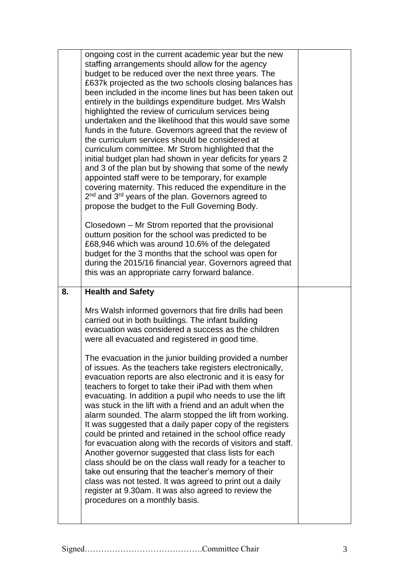|    | ongoing cost in the current academic year but the new<br>staffing arrangements should allow for the agency<br>budget to be reduced over the next three years. The<br>£637k projected as the two schools closing balances has<br>been included in the income lines but has been taken out<br>entirely in the buildings expenditure budget. Mrs Walsh<br>highlighted the review of curriculum services being<br>undertaken and the likelihood that this would save some<br>funds in the future. Governors agreed that the review of<br>the curriculum services should be considered at<br>curriculum committee. Mr Strom highlighted that the<br>initial budget plan had shown in year deficits for years 2<br>and 3 of the plan but by showing that some of the newly<br>appointed staff were to be temporary, for example<br>covering maternity. This reduced the expenditure in the                                                                                                                                                                                                                                                                                                                            |  |
|----|-----------------------------------------------------------------------------------------------------------------------------------------------------------------------------------------------------------------------------------------------------------------------------------------------------------------------------------------------------------------------------------------------------------------------------------------------------------------------------------------------------------------------------------------------------------------------------------------------------------------------------------------------------------------------------------------------------------------------------------------------------------------------------------------------------------------------------------------------------------------------------------------------------------------------------------------------------------------------------------------------------------------------------------------------------------------------------------------------------------------------------------------------------------------------------------------------------------------|--|
|    | 2 <sup>nd</sup> and 3 <sup>rd</sup> years of the plan. Governors agreed to<br>propose the budget to the Full Governing Body.<br>Closedown – Mr Strom reported that the provisional<br>outturn position for the school was predicted to be<br>£68,946 which was around 10.6% of the delegated<br>budget for the 3 months that the school was open for<br>during the 2015/16 financial year. Governors agreed that<br>this was an appropriate carry forward balance.                                                                                                                                                                                                                                                                                                                                                                                                                                                                                                                                                                                                                                                                                                                                              |  |
| 8. | <b>Health and Safety</b><br>Mrs Walsh informed governors that fire drills had been<br>carried out in both buildings. The infant building<br>evacuation was considered a success as the children<br>were all evacuated and registered in good time.<br>The evacuation in the junior building provided a number<br>of issues. As the teachers take registers electronically,<br>evacuation reports are also electronic and it is easy for<br>teachers to forget to take their iPad with them when<br>evacuating. In addition a pupil who needs to use the lift<br>was stuck in the lift with a friend and an adult when the<br>alarm sounded. The alarm stopped the lift from working.<br>It was suggested that a daily paper copy of the registers<br>could be printed and retained in the school office ready<br>for evacuation along with the records of visitors and staff.<br>Another governor suggested that class lists for each<br>class should be on the class wall ready for a teacher to<br>take out ensuring that the teacher's memory of their<br>class was not tested. It was agreed to print out a daily<br>register at 9.30am. It was also agreed to review the<br>procedures on a monthly basis. |  |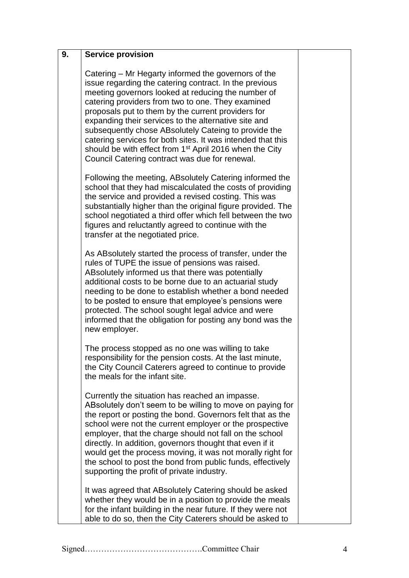| 9. | <b>Service provision</b>                                                                                                                                                                                                                                                                                                                                                                                                                                                                                                                                                               |  |
|----|----------------------------------------------------------------------------------------------------------------------------------------------------------------------------------------------------------------------------------------------------------------------------------------------------------------------------------------------------------------------------------------------------------------------------------------------------------------------------------------------------------------------------------------------------------------------------------------|--|
|    | Catering – Mr Hegarty informed the governors of the<br>issue regarding the catering contract. In the previous<br>meeting governors looked at reducing the number of<br>catering providers from two to one. They examined<br>proposals put to them by the current providers for<br>expanding their services to the alternative site and<br>subsequently chose ABsolutely Cateing to provide the<br>catering services for both sites. It was intended that this<br>should be with effect from 1 <sup>st</sup> April 2016 when the City<br>Council Catering contract was due for renewal. |  |
|    | Following the meeting, AB solutely Catering informed the<br>school that they had miscalculated the costs of providing<br>the service and provided a revised costing. This was<br>substantially higher than the original figure provided. The<br>school negotiated a third offer which fell between the two<br>figures and reluctantly agreed to continue with the<br>transfer at the negotiated price.                                                                                                                                                                                 |  |
|    | As ABsolutely started the process of transfer, under the<br>rules of TUPE the issue of pensions was raised.<br>ABsolutely informed us that there was potentially<br>additional costs to be borne due to an actuarial study<br>needing to be done to establish whether a bond needed<br>to be posted to ensure that employee's pensions were<br>protected. The school sought legal advice and were<br>informed that the obligation for posting any bond was the<br>new employer.                                                                                                        |  |
|    | The process stopped as no one was willing to take<br>responsibility for the pension costs. At the last minute,<br>the City Council Caterers agreed to continue to provide<br>the meals for the infant site.                                                                                                                                                                                                                                                                                                                                                                            |  |
|    | Currently the situation has reached an impasse.<br>ABsolutely don't seem to be willing to move on paying for<br>the report or posting the bond. Governors felt that as the<br>school were not the current employer or the prospective<br>employer, that the charge should not fall on the school<br>directly. In addition, governors thought that even if it<br>would get the process moving, it was not morally right for<br>the school to post the bond from public funds, effectively<br>supporting the profit of private industry.                                                 |  |
|    | It was agreed that ABsolutely Catering should be asked<br>whether they would be in a position to provide the meals<br>for the infant building in the near future. If they were not<br>able to do so, then the City Caterers should be asked to                                                                                                                                                                                                                                                                                                                                         |  |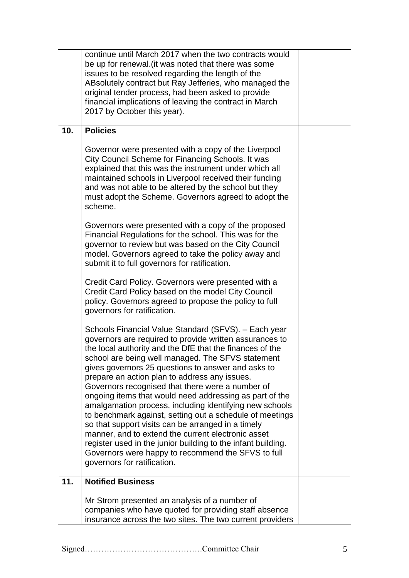|     | continue until March 2017 when the two contracts would<br>be up for renewal. (it was noted that there was some<br>issues to be resolved regarding the length of the<br>ABsolutely contract but Ray Jefferies, who managed the<br>original tender process, had been asked to provide<br>financial implications of leaving the contract in March<br>2017 by October this year).                                                                                                                                                                                                                                                                                                                                                                                                                                                                  |  |
|-----|------------------------------------------------------------------------------------------------------------------------------------------------------------------------------------------------------------------------------------------------------------------------------------------------------------------------------------------------------------------------------------------------------------------------------------------------------------------------------------------------------------------------------------------------------------------------------------------------------------------------------------------------------------------------------------------------------------------------------------------------------------------------------------------------------------------------------------------------|--|
| 10. | <b>Policies</b>                                                                                                                                                                                                                                                                                                                                                                                                                                                                                                                                                                                                                                                                                                                                                                                                                                |  |
|     | Governor were presented with a copy of the Liverpool<br>City Council Scheme for Financing Schools. It was<br>explained that this was the instrument under which all<br>maintained schools in Liverpool received their funding<br>and was not able to be altered by the school but they<br>must adopt the Scheme. Governors agreed to adopt the<br>scheme.                                                                                                                                                                                                                                                                                                                                                                                                                                                                                      |  |
|     | Governors were presented with a copy of the proposed<br>Financial Regulations for the school. This was for the<br>governor to review but was based on the City Council<br>model. Governors agreed to take the policy away and<br>submit it to full governors for ratification.                                                                                                                                                                                                                                                                                                                                                                                                                                                                                                                                                                 |  |
|     | Credit Card Policy. Governors were presented with a<br>Credit Card Policy based on the model City Council<br>policy. Governors agreed to propose the policy to full<br>governors for ratification.                                                                                                                                                                                                                                                                                                                                                                                                                                                                                                                                                                                                                                             |  |
|     | Schools Financial Value Standard (SFVS). - Each year<br>governors are required to provide written assurances to<br>the local authority and the DfE that the finances of the<br>school are being well managed. The SFVS statement<br>gives governors 25 questions to answer and asks to<br>prepare an action plan to address any issues.<br>Governors recognised that there were a number of<br>ongoing items that would need addressing as part of the<br>amalgamation process, including identifying new schools<br>to benchmark against, setting out a schedule of meetings<br>so that support visits can be arranged in a timely<br>manner, and to extend the current electronic asset<br>register used in the junior building to the infant building.<br>Governors were happy to recommend the SFVS to full<br>governors for ratification. |  |
| 11. | <b>Notified Business</b>                                                                                                                                                                                                                                                                                                                                                                                                                                                                                                                                                                                                                                                                                                                                                                                                                       |  |
|     | Mr Strom presented an analysis of a number of<br>companies who have quoted for providing staff absence<br>insurance across the two sites. The two current providers                                                                                                                                                                                                                                                                                                                                                                                                                                                                                                                                                                                                                                                                            |  |